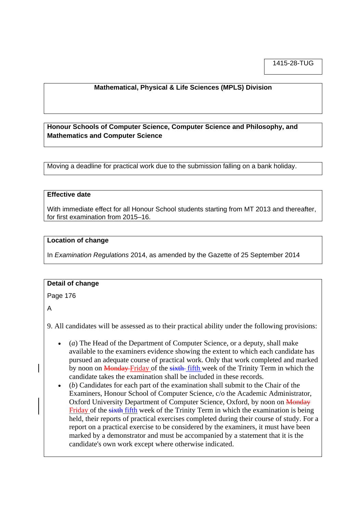1415-28-TUG

# **Mathematical, Physical & Life Sciences (MPLS) Division**

**Honour Schools of Computer Science, Computer Science and Philosophy, and Mathematics and Computer Science**

Moving a deadline for practical work due to the submission falling on a bank holiday.

### **Effective date**

With immediate effect for all Honour School students starting from MT 2013 and thereafter, for first examination from 2015–16.

#### **Location of change**

In *Examination Regulations* 2014, as amended by the Gazette of 25 September 2014

### **Detail of change**

Page 176

A

9. All candidates will be assessed as to their practical ability under the following provisions:

- (*a*) The Head of the Department of Computer Science, or a deputy, shall make available to the examiners evidence showing the extent to which each candidate has pursued an adequate course of practical work. Only that work completed and marked by noon on Monday Friday of the sixth fifth week of the Trinity Term in which the candidate takes the examination shall be included in these records.
- (*b*) Candidates for each part of the examination shall submit to the Chair of the Examiners, Honour School of Computer Science, c/o the Academic Administrator, Oxford University Department of Computer Science, Oxford, by noon on Monday Friday of the sixth fifth week of the Trinity Term in which the examination is being held, their reports of practical exercises completed during their course of study. For a report on a practical exercise to be considered by the examiners, it must have been marked by a demonstrator and must be accompanied by a statement that it is the candidate's own work except where otherwise indicated.